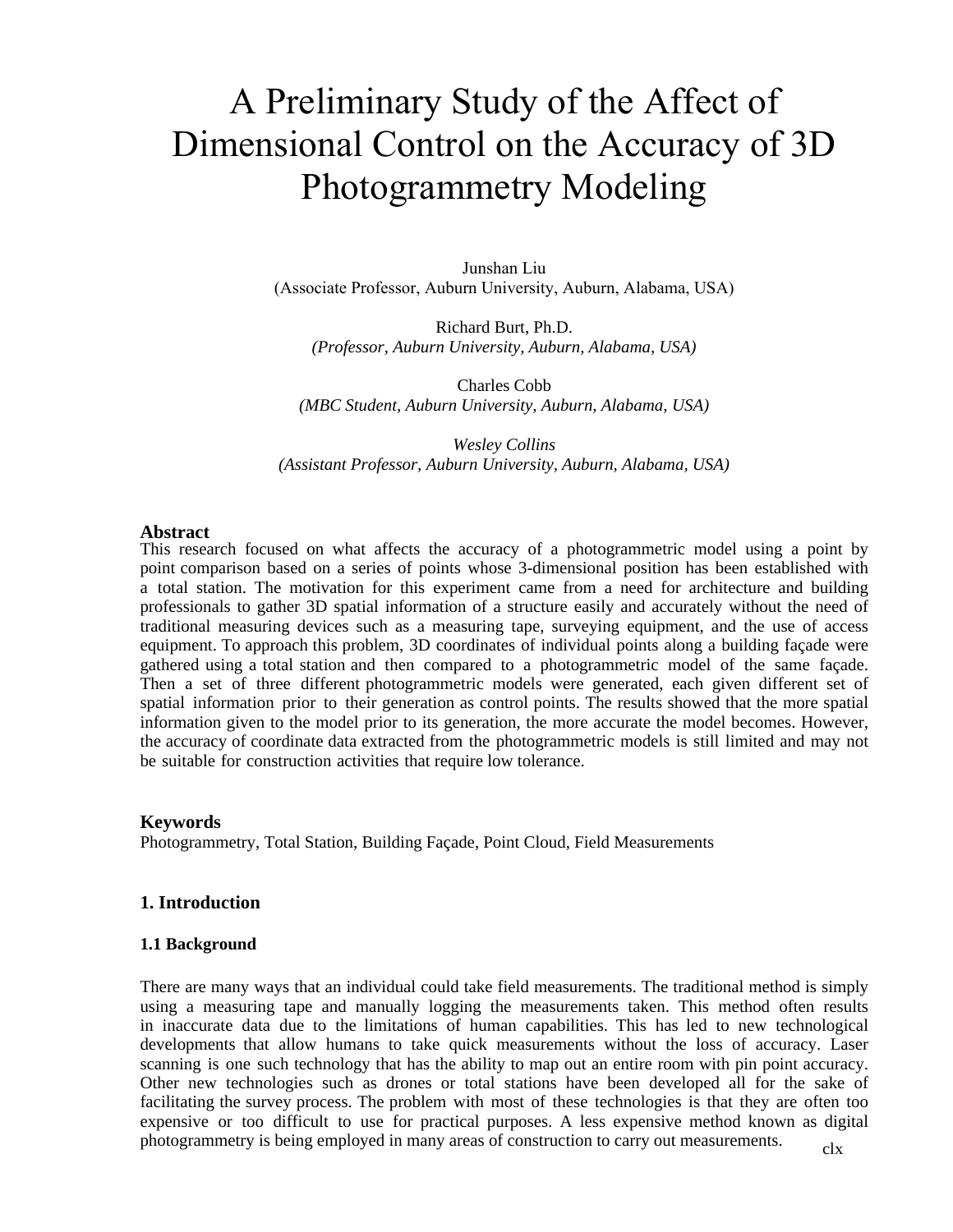# A Preliminary Study of the Affect of Dimensional Control on the Accuracy of 3D Photogrammetry Modeling

Junshan Liu (Associate Professor, Auburn University, Auburn, Alabama, USA)

Richard Burt, Ph.D. *(Professor, Auburn University, Auburn, Alabama, USA)* 

Charles Cobb *(MBC Student, Auburn University, Auburn, Alabama, USA)* 

*Wesley Collins (Assistant Professor, Auburn University, Auburn, Alabama, USA)* 

#### **Abstract**

This research focused on what affects the accuracy of a photogrammetric model using a point by point comparison based on a series of points whose 3-dimensional position has been established with a total station. The motivation for this experiment came from a need for architecture and building professionals to gather 3D spatial information of a structure easily and accurately without the need of traditional measuring devices such as a measuring tape, surveying equipment, and the use of access equipment. To approach this problem, 3D coordinates of individual points along a building façade were gathered using a total station and then compared to a photogrammetric model of the same façade. Then a set of three different photogrammetric models were generated, each given different set of spatial information prior to their generation as control points. The results showed that the more spatial information given to the model prior to its generation, the more accurate the model becomes. However, the accuracy of coordinate data extracted from the photogrammetric models is still limited and may not be suitable for construction activities that require low tolerance.

#### **Keywords**

Photogrammetry, Total Station, Building Façade, Point Cloud, Field Measurements

#### **1. Introduction**

#### **1.1 Background**

clx There are many ways that an individual could take field measurements. The traditional method is simply using a measuring tape and manually logging the measurements taken. This method often results in inaccurate data due to the limitations of human capabilities. This has led to new technological developments that allow humans to take quick measurements without the loss of accuracy. Laser scanning is one such technology that has the ability to map out an entire room with pin point accuracy. Other new technologies such as drones or total stations have been developed all for the sake of facilitating the survey process. The problem with most of these technologies is that they are often too expensive or too difficult to use for practical purposes. A less expensive method known as digital photogrammetry is being employed in many areas of construction to carry out measurements.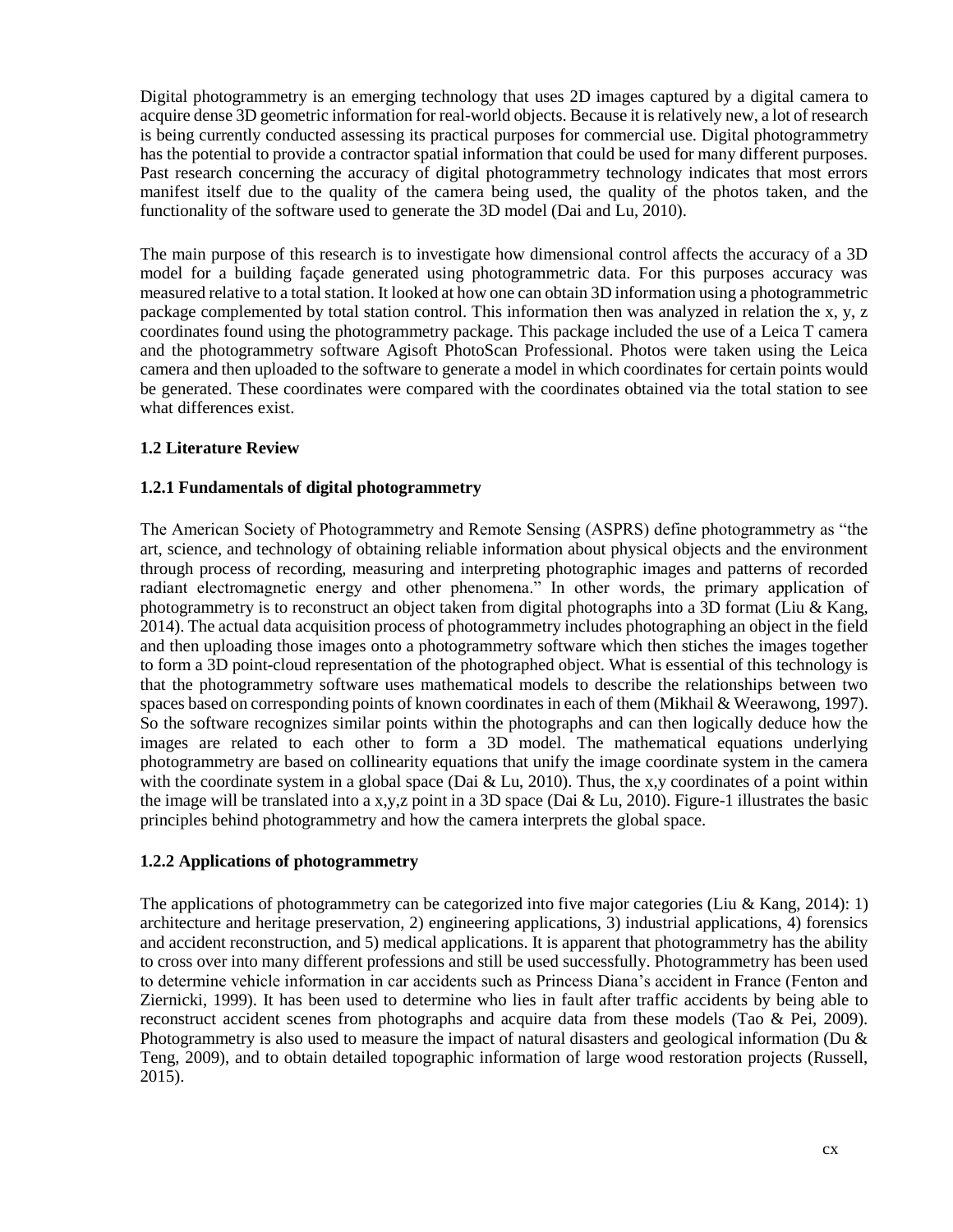Digital photogrammetry is an emerging technology that uses 2D images captured by a digital camera to acquire dense 3D geometric information for real-world objects. Because it is relatively new, a lot of research is being currently conducted assessing its practical purposes for commercial use. Digital photogrammetry has the potential to provide a contractor spatial information that could be used for many different purposes. Past research concerning the accuracy of digital photogrammetry technology indicates that most errors manifest itself due to the quality of the camera being used, the quality of the photos taken, and the functionality of the software used to generate the 3D model (Dai and Lu, 2010).

The main purpose of this research is to investigate how dimensional control affects the accuracy of a 3D model for a building façade generated using photogrammetric data. For this purposes accuracy was measured relative to a total station. It looked at how one can obtain 3D information using a photogrammetric package complemented by total station control. This information then was analyzed in relation the x, y, z coordinates found using the photogrammetry package. This package included the use of a Leica T camera and the photogrammetry software Agisoft PhotoScan Professional. Photos were taken using the Leica camera and then uploaded to the software to generate a model in which coordinates for certain points would be generated. These coordinates were compared with the coordinates obtained via the total station to see what differences exist.

## **1.2 Literature Review**

## **1.2.1 Fundamentals of digital photogrammetry**

The American Society of Photogrammetry and Remote Sensing (ASPRS) define photogrammetry as "the art, science, and technology of obtaining reliable information about physical objects and the environment through process of recording, measuring and interpreting photographic images and patterns of recorded radiant electromagnetic energy and other phenomena." In other words, the primary application of photogrammetry is to reconstruct an object taken from digital photographs into a 3D format (Liu & Kang, 2014). The actual data acquisition process of photogrammetry includes photographing an object in the field and then uploading those images onto a photogrammetry software which then stiches the images together to form a 3D point-cloud representation of the photographed object. What is essential of this technology is that the photogrammetry software uses mathematical models to describe the relationships between two spaces based on corresponding points of known coordinates in each of them (Mikhail & Weerawong, 1997). So the software recognizes similar points within the photographs and can then logically deduce how the images are related to each other to form a 3D model. The mathematical equations underlying photogrammetry are based on collinearity equations that unify the image coordinate system in the camera with the coordinate system in a global space (Dai & Lu, 2010). Thus, the x,y coordinates of a point within the image will be translated into a x,y,z point in a 3D space (Dai & Lu, 2010). Figure-1 illustrates the basic principles behind photogrammetry and how the camera interprets the global space.

### **1.2.2 Applications of photogrammetry**

The applications of photogrammetry can be categorized into five major categories (Liu & Kang, 2014): 1) architecture and heritage preservation, 2) engineering applications, 3) industrial applications, 4) forensics and accident reconstruction, and 5) medical applications. It is apparent that photogrammetry has the ability to cross over into many different professions and still be used successfully. Photogrammetry has been used to determine vehicle information in car accidents such as Princess Diana's accident in France (Fenton and Ziernicki, 1999). It has been used to determine who lies in fault after traffic accidents by being able to reconstruct accident scenes from photographs and acquire data from these models (Tao & Pei, 2009). Photogrammetry is also used to measure the impact of natural disasters and geological information (Du  $\&$ Teng, 2009), and to obtain detailed topographic information of large wood restoration projects (Russell, 2015).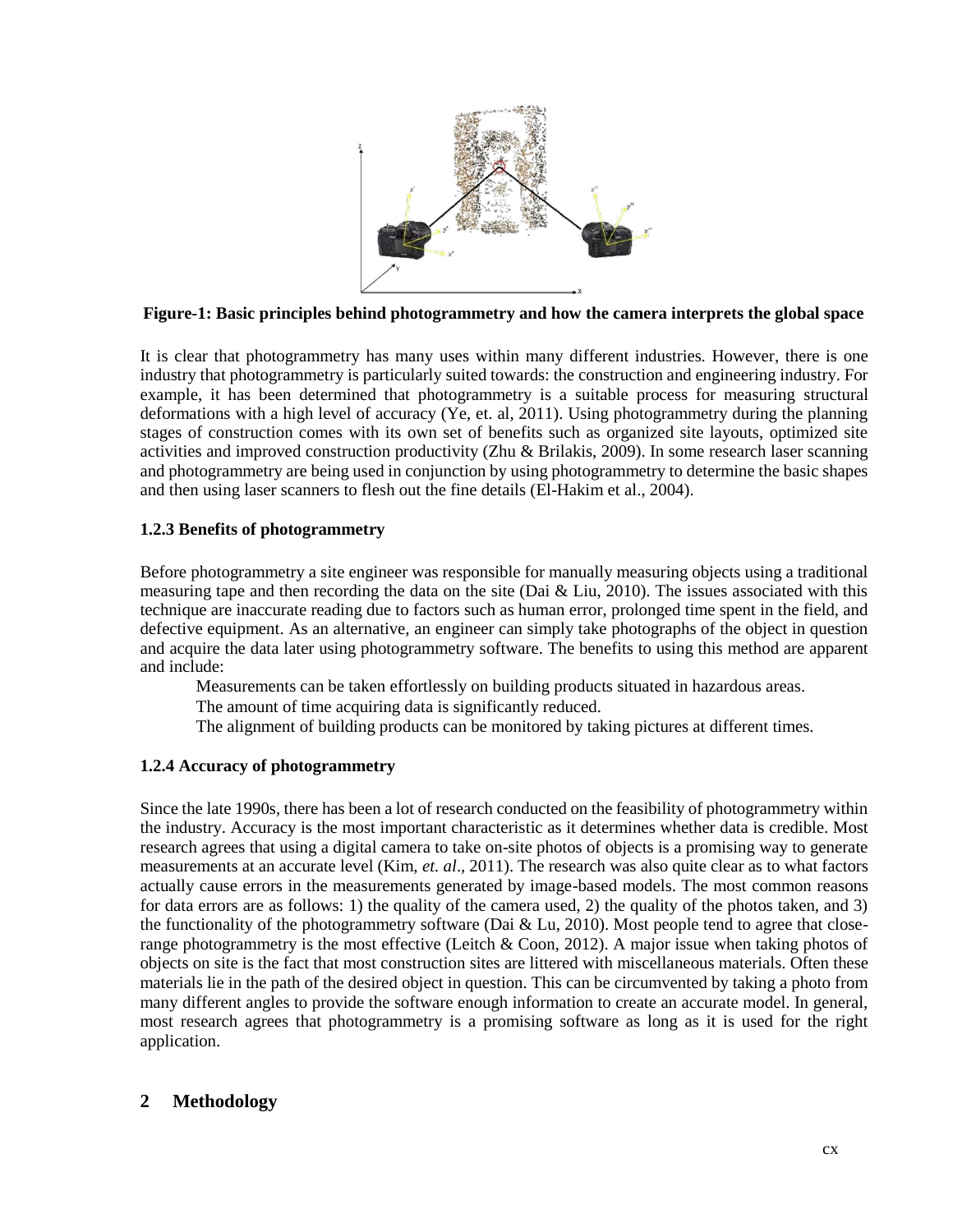

**Figure-1: Basic principles behind photogrammetry and how the camera interprets the global space**

It is clear that photogrammetry has many uses within many different industries. However, there is one industry that photogrammetry is particularly suited towards: the construction and engineering industry. For example, it has been determined that photogrammetry is a suitable process for measuring structural deformations with a high level of accuracy (Ye, et. al, 2011). Using photogrammetry during the planning stages of construction comes with its own set of benefits such as organized site layouts, optimized site activities and improved construction productivity (Zhu & Brilakis, 2009). In some research laser scanning and photogrammetry are being used in conjunction by using photogrammetry to determine the basic shapes and then using laser scanners to flesh out the fine details (El-Hakim et al., 2004).

## **1.2.3 Benefits of photogrammetry**

Before photogrammetry a site engineer was responsible for manually measuring objects using a traditional measuring tape and then recording the data on the site (Dai  $\&$  Liu, 2010). The issues associated with this technique are inaccurate reading due to factors such as human error, prolonged time spent in the field, and defective equipment. As an alternative, an engineer can simply take photographs of the object in question and acquire the data later using photogrammetry software. The benefits to using this method are apparent and include:

Measurements can be taken effortlessly on building products situated in hazardous areas.

The amount of time acquiring data is significantly reduced.

The alignment of building products can be monitored by taking pictures at different times.

### **1.2.4 Accuracy of photogrammetry**

Since the late 1990s, there has been a lot of research conducted on the feasibility of photogrammetry within the industry. Accuracy is the most important characteristic as it determines whether data is credible. Most research agrees that using a digital camera to take on-site photos of objects is a promising way to generate measurements at an accurate level (Kim, *et. al*., 2011). The research was also quite clear as to what factors actually cause errors in the measurements generated by image-based models. The most common reasons for data errors are as follows: 1) the quality of the camera used, 2) the quality of the photos taken, and 3) the functionality of the photogrammetry software (Dai  $& Lu, 2010$ ). Most people tend to agree that closerange photogrammetry is the most effective (Leitch & Coon, 2012). A major issue when taking photos of objects on site is the fact that most construction sites are littered with miscellaneous materials. Often these materials lie in the path of the desired object in question. This can be circumvented by taking a photo from many different angles to provide the software enough information to create an accurate model. In general, most research agrees that photogrammetry is a promising software as long as it is used for the right application.

## **2 Methodology**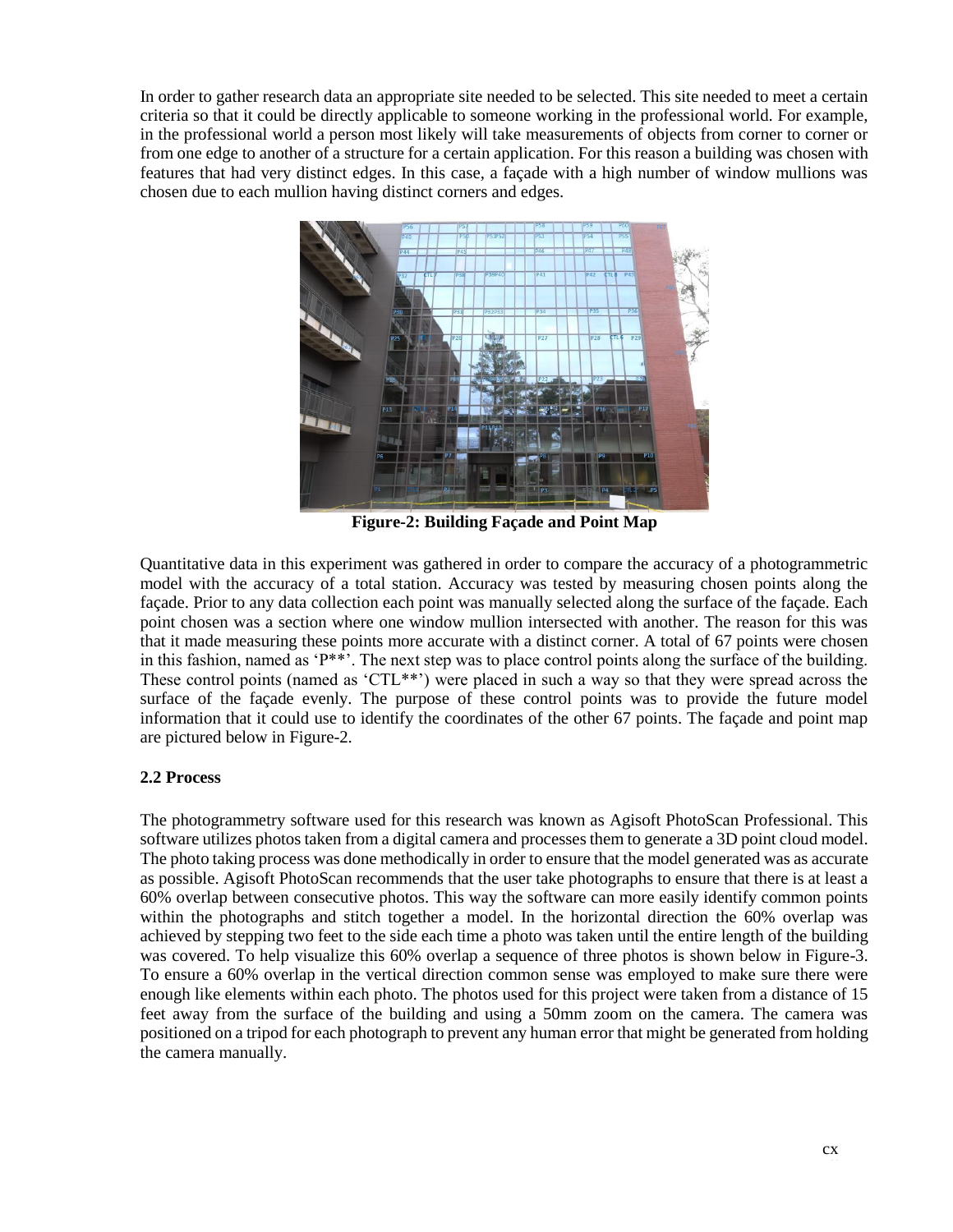In order to gather research data an appropriate site needed to be selected. This site needed to meet a certain criteria so that it could be directly applicable to someone working in the professional world. For example, in the professional world a person most likely will take measurements of objects from corner to corner or from one edge to another of a structure for a certain application. For this reason a building was chosen with features that had very distinct edges. In this case, a façade with a high number of window mullions was chosen due to each mullion having distinct corners and edges.



**Figure-2: Building Façade and Point Map**

Quantitative data in this experiment was gathered in order to compare the accuracy of a photogrammetric model with the accuracy of a total station. Accuracy was tested by measuring chosen points along the façade. Prior to any data collection each point was manually selected along the surface of the façade. Each point chosen was a section where one window mullion intersected with another. The reason for this was that it made measuring these points more accurate with a distinct corner. A total of 67 points were chosen in this fashion, named as 'P\*\*'. The next step was to place control points along the surface of the building. These control points (named as 'CTL\*\*') were placed in such a way so that they were spread across the surface of the façade evenly. The purpose of these control points was to provide the future model information that it could use to identify the coordinates of the other 67 points. The façade and point map are pictured below in Figure-2.

### **2.2 Process**

The photogrammetry software used for this research was known as Agisoft PhotoScan Professional. This software utilizes photos taken from a digital camera and processes them to generate a 3D point cloud model. The photo taking process was done methodically in order to ensure that the model generated was as accurate as possible. Agisoft PhotoScan recommends that the user take photographs to ensure that there is at least a 60% overlap between consecutive photos. This way the software can more easily identify common points within the photographs and stitch together a model. In the horizontal direction the 60% overlap was achieved by stepping two feet to the side each time a photo was taken until the entire length of the building was covered. To help visualize this 60% overlap a sequence of three photos is shown below in Figure-3. To ensure a 60% overlap in the vertical direction common sense was employed to make sure there were enough like elements within each photo. The photos used for this project were taken from a distance of 15 feet away from the surface of the building and using a 50mm zoom on the camera. The camera was positioned on a tripod for each photograph to prevent any human error that might be generated from holding the camera manually.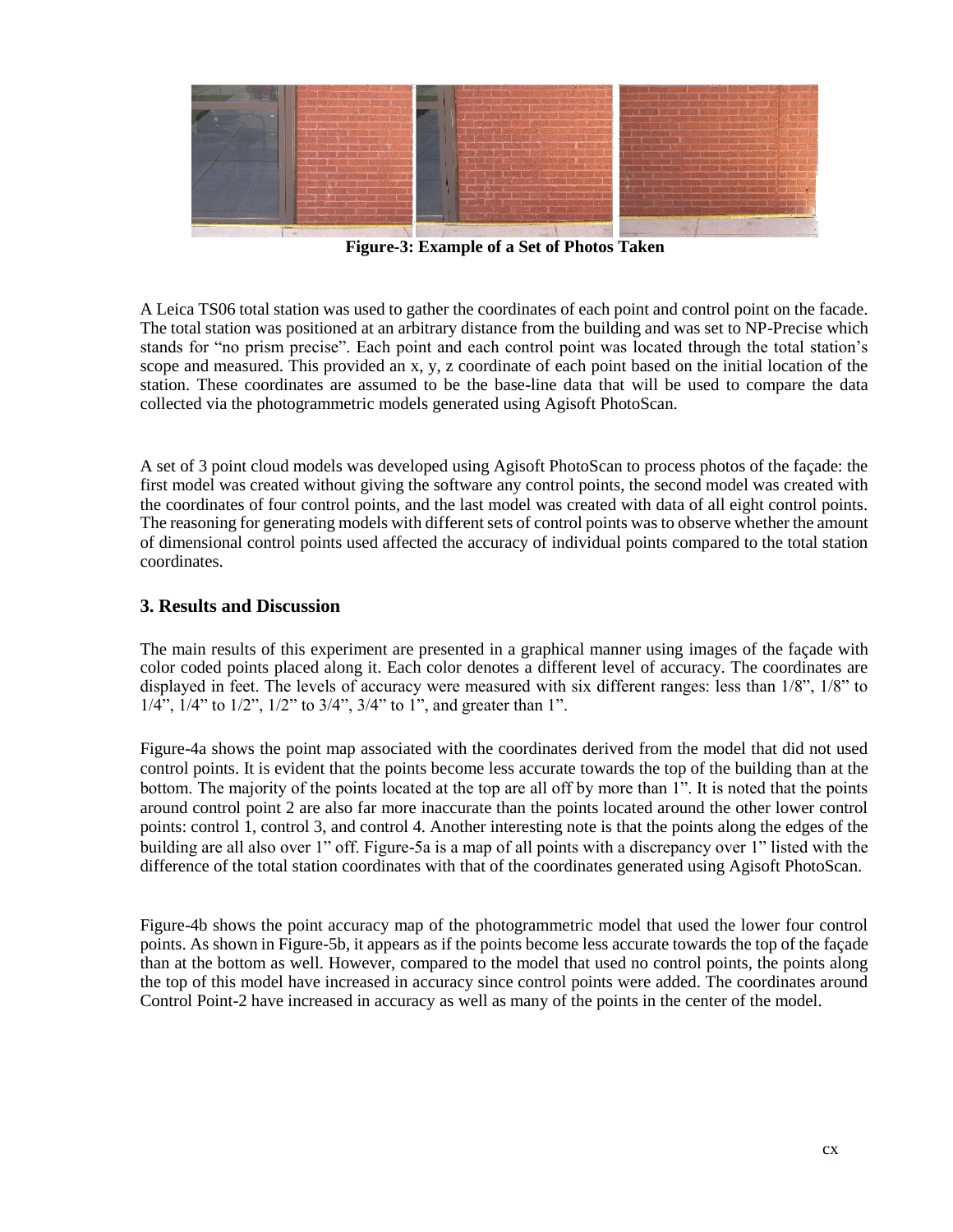

**Figure-3: Example of a Set of Photos Taken**

A Leica TS06 total station was used to gather the coordinates of each point and control point on the facade. The total station was positioned at an arbitrary distance from the building and was set to NP-Precise which stands for "no prism precise". Each point and each control point was located through the total station's scope and measured. This provided an x, y, z coordinate of each point based on the initial location of the station. These coordinates are assumed to be the base-line data that will be used to compare the data collected via the photogrammetric models generated using Agisoft PhotoScan.

A set of 3 point cloud models was developed using Agisoft PhotoScan to process photos of the façade: the first model was created without giving the software any control points, the second model was created with the coordinates of four control points, and the last model was created with data of all eight control points. The reasoning for generating models with different sets of control points was to observe whether the amount of dimensional control points used affected the accuracy of individual points compared to the total station coordinates.

# **3. Results and Discussion**

The main results of this experiment are presented in a graphical manner using images of the façade with color coded points placed along it. Each color denotes a different level of accuracy. The coordinates are displayed in feet. The levels of accuracy were measured with six different ranges: less than 1/8", 1/8" to  $1/4$ <sup>"</sup>,  $1/4$ " to  $1/2$ ",  $1/2$ " to  $3/4$ ",  $3/4$ " to  $1$ ", and greater than 1".

Figure-4a shows the point map associated with the coordinates derived from the model that did not used control points. It is evident that the points become less accurate towards the top of the building than at the bottom. The majority of the points located at the top are all off by more than 1". It is noted that the points around control point 2 are also far more inaccurate than the points located around the other lower control points: control 1, control 3, and control 4. Another interesting note is that the points along the edges of the building are all also over 1" off. Figure-5a is a map of all points with a discrepancy over 1" listed with the difference of the total station coordinates with that of the coordinates generated using Agisoft PhotoScan.

Figure-4b shows the point accuracy map of the photogrammetric model that used the lower four control points. As shown in Figure-5b, it appears as if the points become less accurate towards the top of the façade than at the bottom as well. However, compared to the model that used no control points, the points along the top of this model have increased in accuracy since control points were added. The coordinates around Control Point-2 have increased in accuracy as well as many of the points in the center of the model.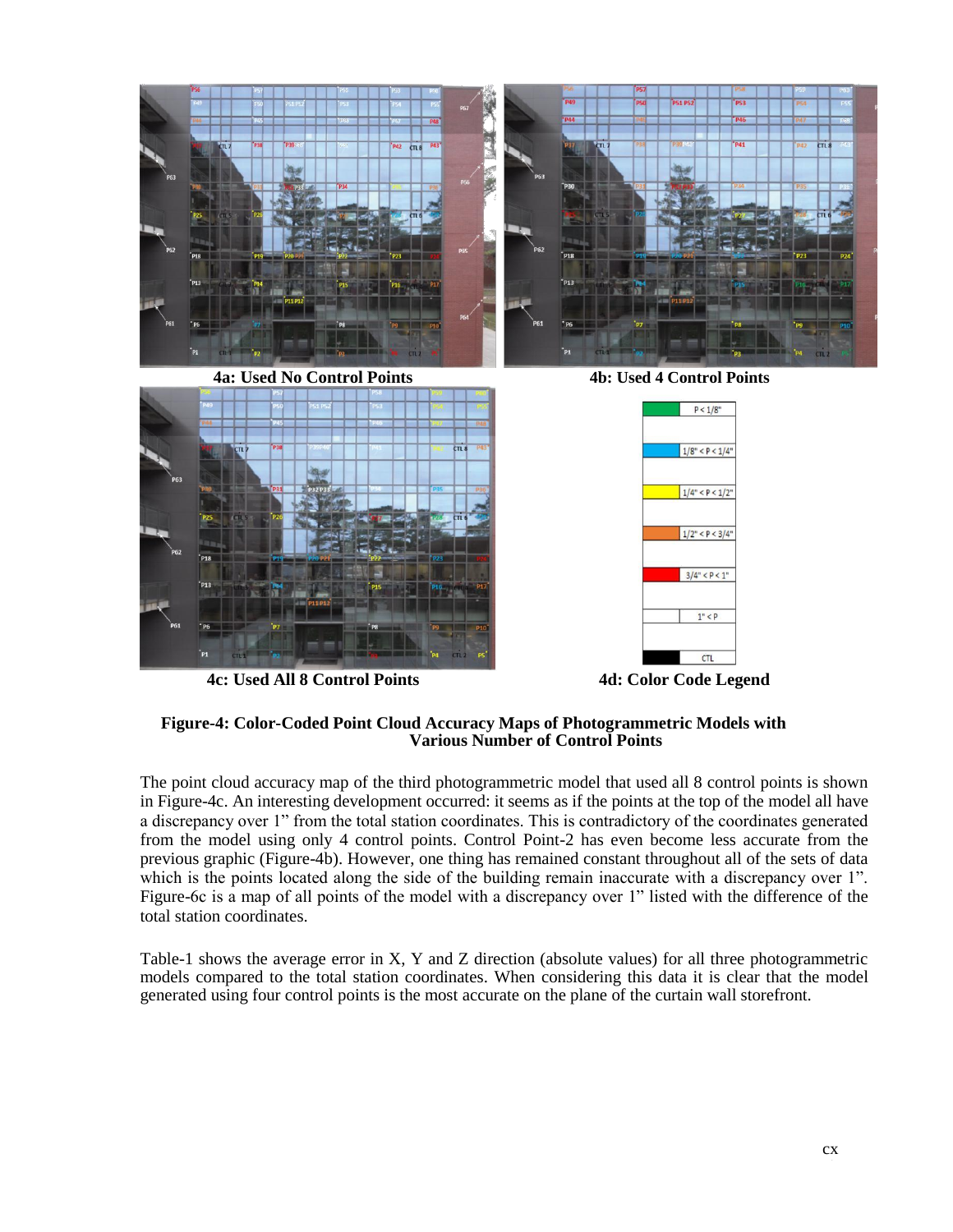

**4c: Used All 8 Control Points 4d: Color Code Legend**



### **Figure-4: Color-Coded Point Cloud Accuracy Maps of Photogrammetric Models with Various Number of Control Points**

The point cloud accuracy map of the third photogrammetric model that used all 8 control points is shown in Figure-4c. An interesting development occurred: it seems as if the points at the top of the model all have a discrepancy over 1" from the total station coordinates. This is contradictory of the coordinates generated from the model using only 4 control points. Control Point-2 has even become less accurate from the previous graphic (Figure-4b). However, one thing has remained constant throughout all of the sets of data which is the points located along the side of the building remain inaccurate with a discrepancy over 1". Figure-6c is a map of all points of the model with a discrepancy over 1" listed with the difference of the total station coordinates.

Table-1 shows the average error in X, Y and Z direction (absolute values) for all three photogrammetric models compared to the total station coordinates. When considering this data it is clear that the model generated using four control points is the most accurate on the plane of the curtain wall storefront.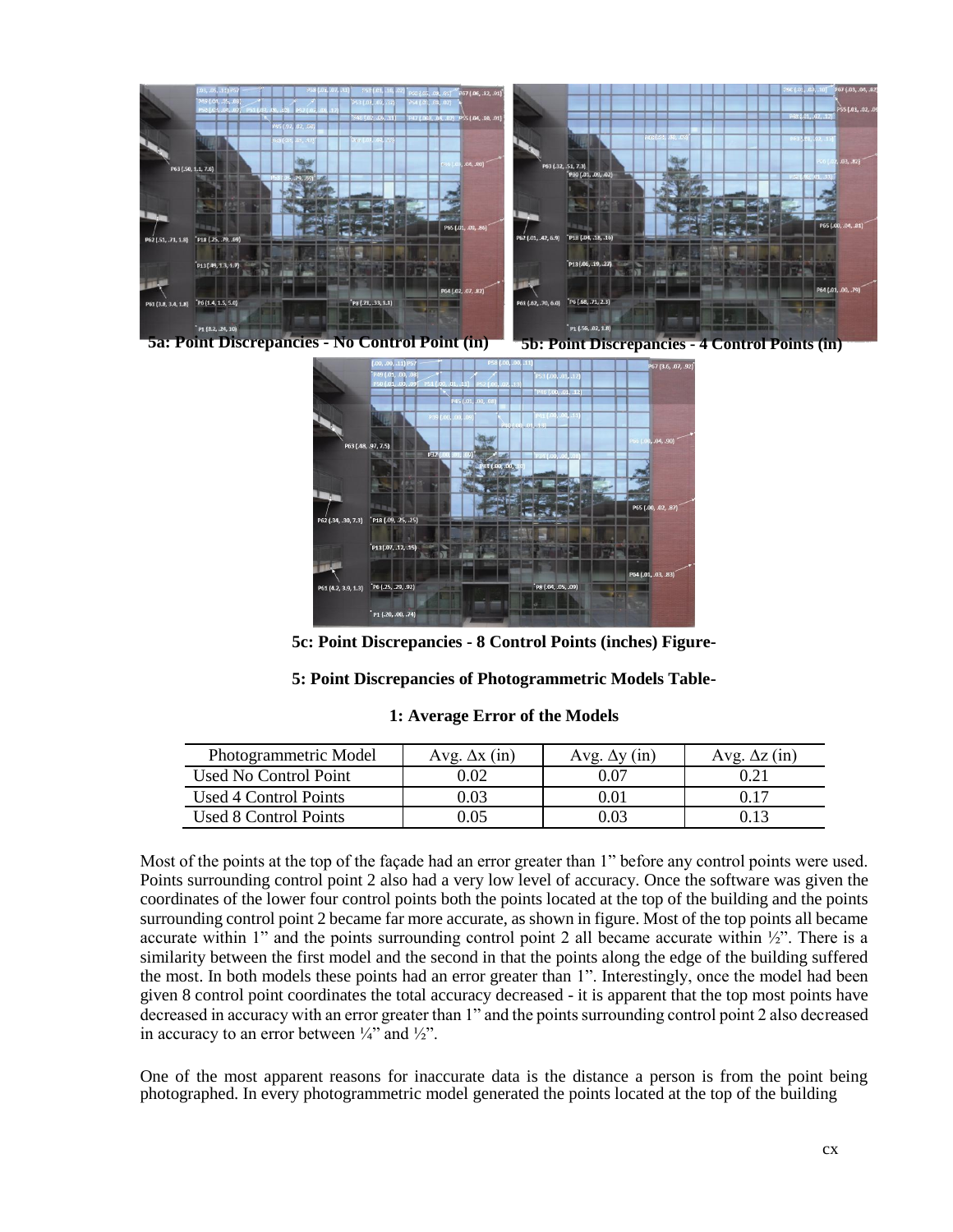

**5a: Point Discrepancies - No Control Point (in) 5b: Point Discrepancies - 4 Control Points (in)**



**5c: Point Discrepancies - 8 Control Points (inches) Figure-**

### **5: Point Discrepancies of Photogrammetric Models Table-**

| 1: Average Error of the Models |
|--------------------------------|
|--------------------------------|

| Photogrammetric Model | Avg. $\Delta x$ (in) | $\Delta$ v (in)<br>Avg | $\mathbf{z}$ (in)<br>Aνσ |
|-----------------------|----------------------|------------------------|--------------------------|
| Used No Control Point | 0.02                 |                        |                          |
| Used 4 Control Points | ).03                 | 01.0                   |                          |
| Used 8 Control Points |                      |                        |                          |

Most of the points at the top of the façade had an error greater than 1" before any control points were used. Points surrounding control point 2 also had a very low level of accuracy. Once the software was given the coordinates of the lower four control points both the points located at the top of the building and the points surrounding control point 2 became far more accurate, as shown in figure. Most of the top points all became accurate within 1" and the points surrounding control point 2 all became accurate within  $\frac{1}{2}$ ". There is a similarity between the first model and the second in that the points along the edge of the building suffered the most. In both models these points had an error greater than 1". Interestingly, once the model had been given 8 control point coordinates the total accuracy decreased - it is apparent that the top most points have decreased in accuracy with an error greater than 1" and the points surrounding control point 2 also decreased in accuracy to an error between  $\frac{1}{4}$  and  $\frac{1}{2}$ .

One of the most apparent reasons for inaccurate data is the distance a person is from the point being photographed. In every photogrammetric model generated the points located at the top of the building